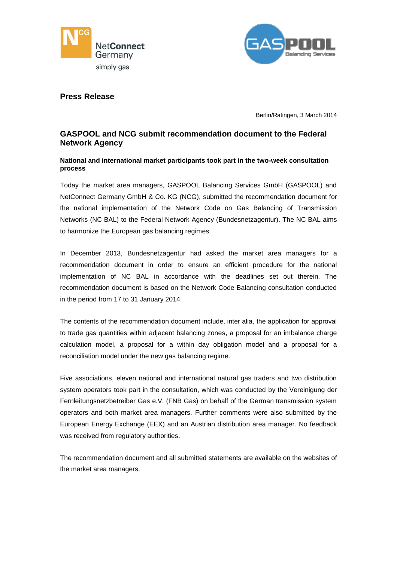



## **Press Release**

Berlin/Ratingen, 3 March 2014

# **GASPOOL and NCG submit recommendation document to the Federal Network Agency**

### **National and international market participants took part in the two-week consultation process**

Today the market area managers, GASPOOL Balancing Services GmbH (GASPOOL) and NetConnect Germany GmbH & Co. KG (NCG), submitted the recommendation document for the national implementation of the Network Code on Gas Balancing of Transmission Networks (NC BAL) to the Federal Network Agency (Bundesnetzagentur). The NC BAL aims to harmonize the European gas balancing regimes.

In December 2013, Bundesnetzagentur had asked the market area managers for a recommendation document in order to ensure an efficient procedure for the national implementation of NC BAL in accordance with the deadlines set out therein. The recommendation document is based on the Network Code Balancing consultation conducted in the period from 17 to 31 January 2014.

The contents of the recommendation document include, inter alia, the application for approval to trade gas quantities within adjacent balancing zones, a proposal for an imbalance charge calculation model, a proposal for a within day obligation model and a proposal for a reconciliation model under the new gas balancing regime.

Five associations, eleven national and international natural gas traders and two distribution system operators took part in the consultation, which was conducted by the Vereinigung der Fernleitungsnetzbetreiber Gas e.V. (FNB Gas) on behalf of the German transmission system operators and both market area managers. Further comments were also submitted by the European Energy Exchange (EEX) and an Austrian distribution area manager. No feedback was received from regulatory authorities.

The recommendation document and all submitted statements are available on the websites of the market area managers.